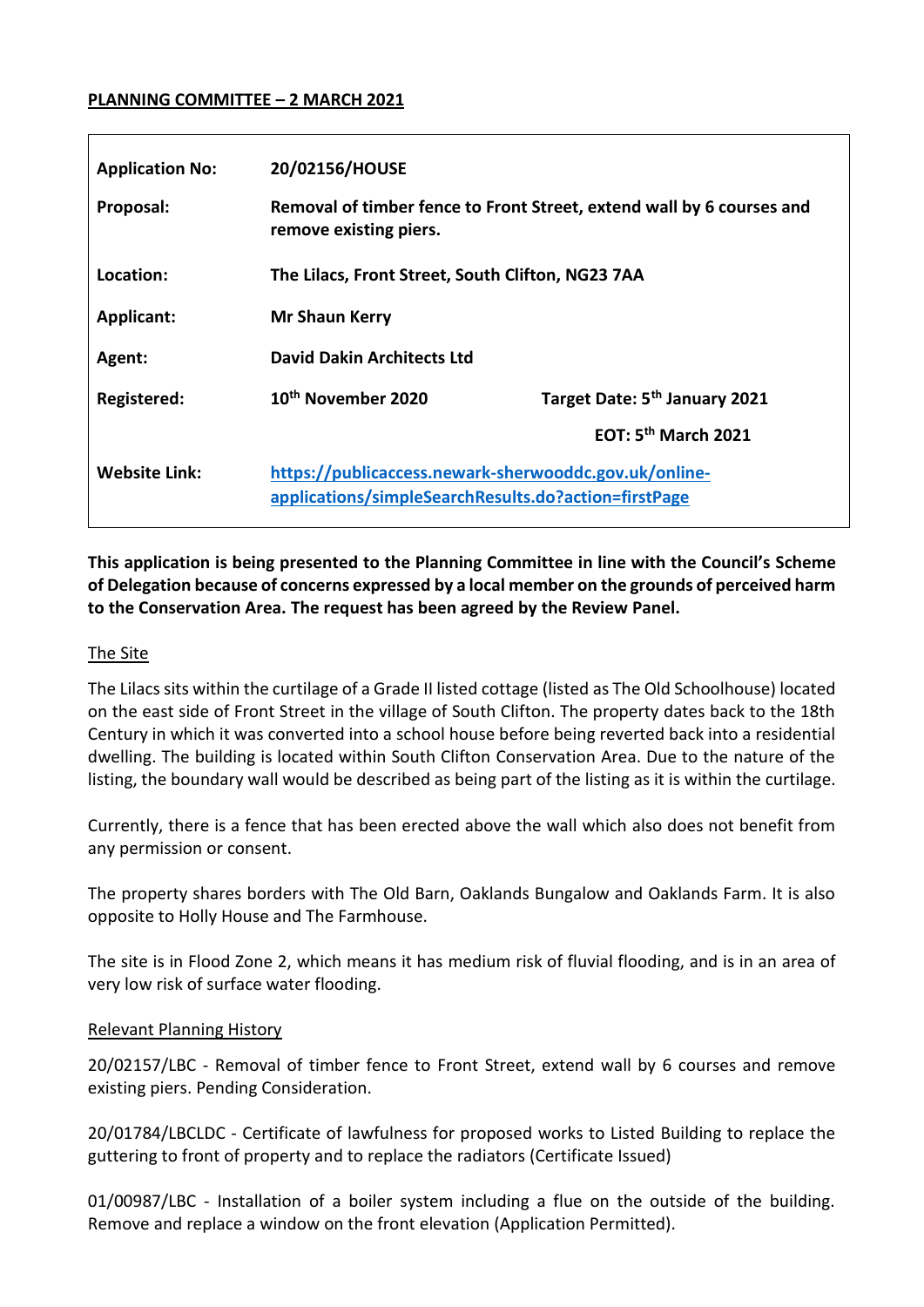#### **PLANNING COMMITTEE – 2 MARCH 2021**

| <b>Application No:</b> | 20/02156/HOUSE                                                                                                |                                           |
|------------------------|---------------------------------------------------------------------------------------------------------------|-------------------------------------------|
| Proposal:              | Removal of timber fence to Front Street, extend wall by 6 courses and<br>remove existing piers.               |                                           |
| Location:              | The Lilacs, Front Street, South Clifton, NG23 7AA                                                             |                                           |
| <b>Applicant:</b>      | <b>Mr Shaun Kerry</b>                                                                                         |                                           |
| Agent:                 | <b>David Dakin Architects Ltd</b>                                                                             |                                           |
| Registered:            | 10 <sup>th</sup> November 2020                                                                                | Target Date: 5 <sup>th</sup> January 2021 |
|                        |                                                                                                               | EOT: $5th$ March 2021                     |
| <b>Website Link:</b>   | https://publicaccess.newark-sherwooddc.gov.uk/online-<br>applications/simpleSearchResults.do?action=firstPage |                                           |

**This application is being presented to the Planning Committee in line with the Council's Scheme of Delegation because of concerns expressed by a local member on the grounds of perceived harm to the Conservation Area. The request has been agreed by the Review Panel.**

#### The Site

The Lilacs sits within the curtilage of a Grade II listed cottage (listed as The Old Schoolhouse) located on the east side of Front Street in the village of South Clifton. The property dates back to the 18th Century in which it was converted into a school house before being reverted back into a residential dwelling. The building is located within South Clifton Conservation Area. Due to the nature of the listing, the boundary wall would be described as being part of the listing as it is within the curtilage.

Currently, there is a fence that has been erected above the wall which also does not benefit from any permission or consent.

The property shares borders with The Old Barn, Oaklands Bungalow and Oaklands Farm. It is also opposite to Holly House and The Farmhouse.

The site is in Flood Zone 2, which means it has medium risk of fluvial flooding, and is in an area of very low risk of surface water flooding.

#### Relevant Planning History

20/02157/LBC - Removal of timber fence to Front Street, extend wall by 6 courses and remove existing piers. Pending Consideration.

20/01784/LBCLDC - Certificate of lawfulness for proposed works to Listed Building to replace the guttering to front of property and to replace the radiators (Certificate Issued)

01/00987/LBC - Installation of a boiler system including a flue on the outside of the building. Remove and replace a window on the front elevation (Application Permitted).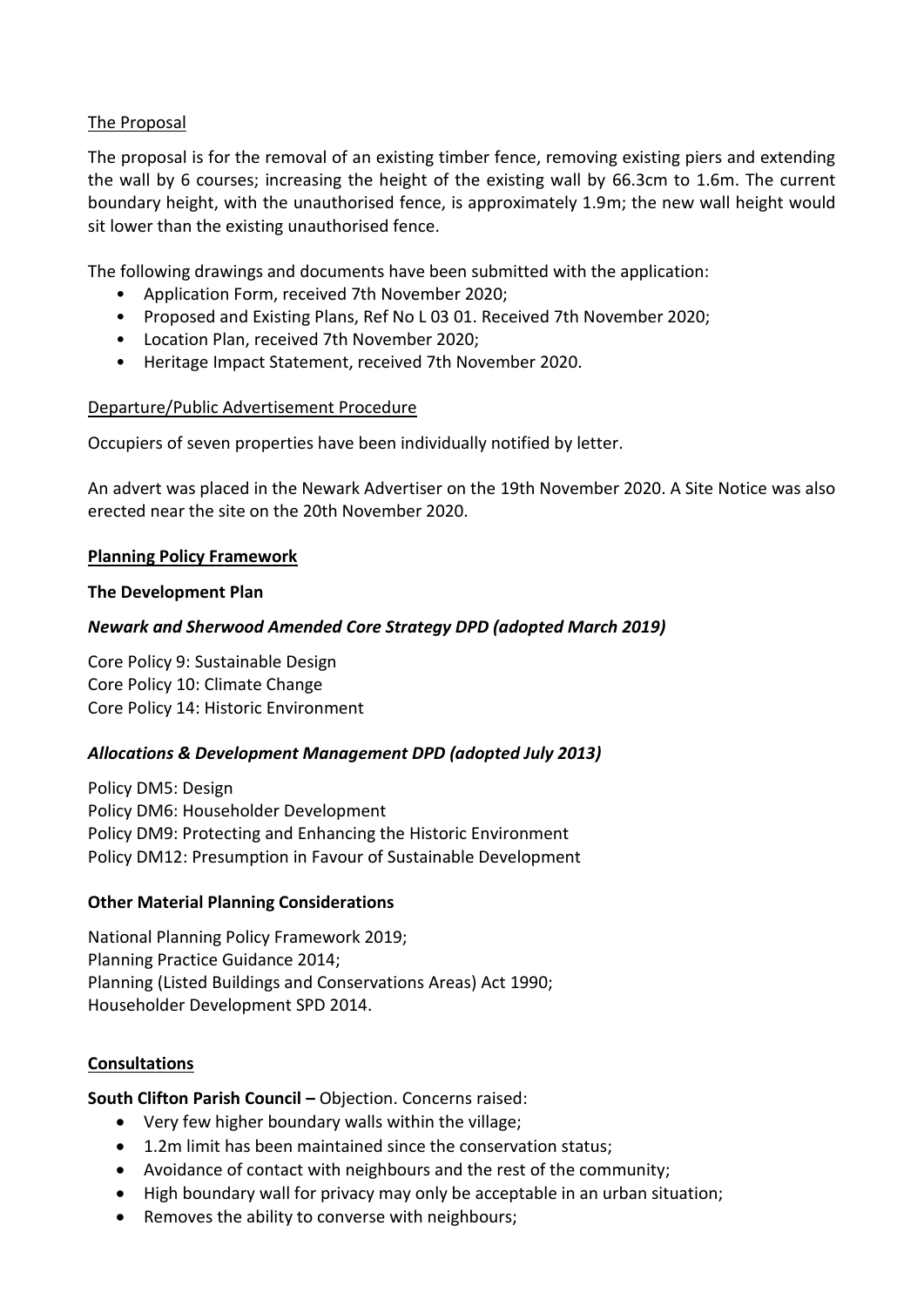# The Proposal

The proposal is for the removal of an existing timber fence, removing existing piers and extending the wall by 6 courses; increasing the height of the existing wall by 66.3cm to 1.6m. The current boundary height, with the unauthorised fence, is approximately 1.9m; the new wall height would sit lower than the existing unauthorised fence.

The following drawings and documents have been submitted with the application:

- Application Form, received 7th November 2020;
- Proposed and Existing Plans, Ref No L 03 01. Received 7th November 2020;
- Location Plan, received 7th November 2020;
- Heritage Impact Statement, received 7th November 2020.

#### Departure/Public Advertisement Procedure

Occupiers of seven properties have been individually notified by letter.

An advert was placed in the Newark Advertiser on the 19th November 2020. A Site Notice was also erected near the site on the 20th November 2020.

#### **Planning Policy Framework**

#### **The Development Plan**

# *Newark and Sherwood Amended Core Strategy DPD (adopted March 2019)*

Core Policy 9: Sustainable Design Core Policy 10: Climate Change Core Policy 14: Historic Environment

# *Allocations & Development Management DPD (adopted July 2013)*

Policy DM5: Design Policy DM6: Householder Development Policy DM9: Protecting and Enhancing the Historic Environment Policy DM12: Presumption in Favour of Sustainable Development

#### **Other Material Planning Considerations**

National Planning Policy Framework 2019; Planning Practice Guidance 2014; Planning (Listed Buildings and Conservations Areas) Act 1990; Householder Development SPD 2014.

#### **Consultations**

**South Clifton Parish Council –** Objection. Concerns raised:

- Very few higher boundary walls within the village;
- 1.2m limit has been maintained since the conservation status;
- Avoidance of contact with neighbours and the rest of the community;
- High boundary wall for privacy may only be acceptable in an urban situation;
- Removes the ability to converse with neighbours;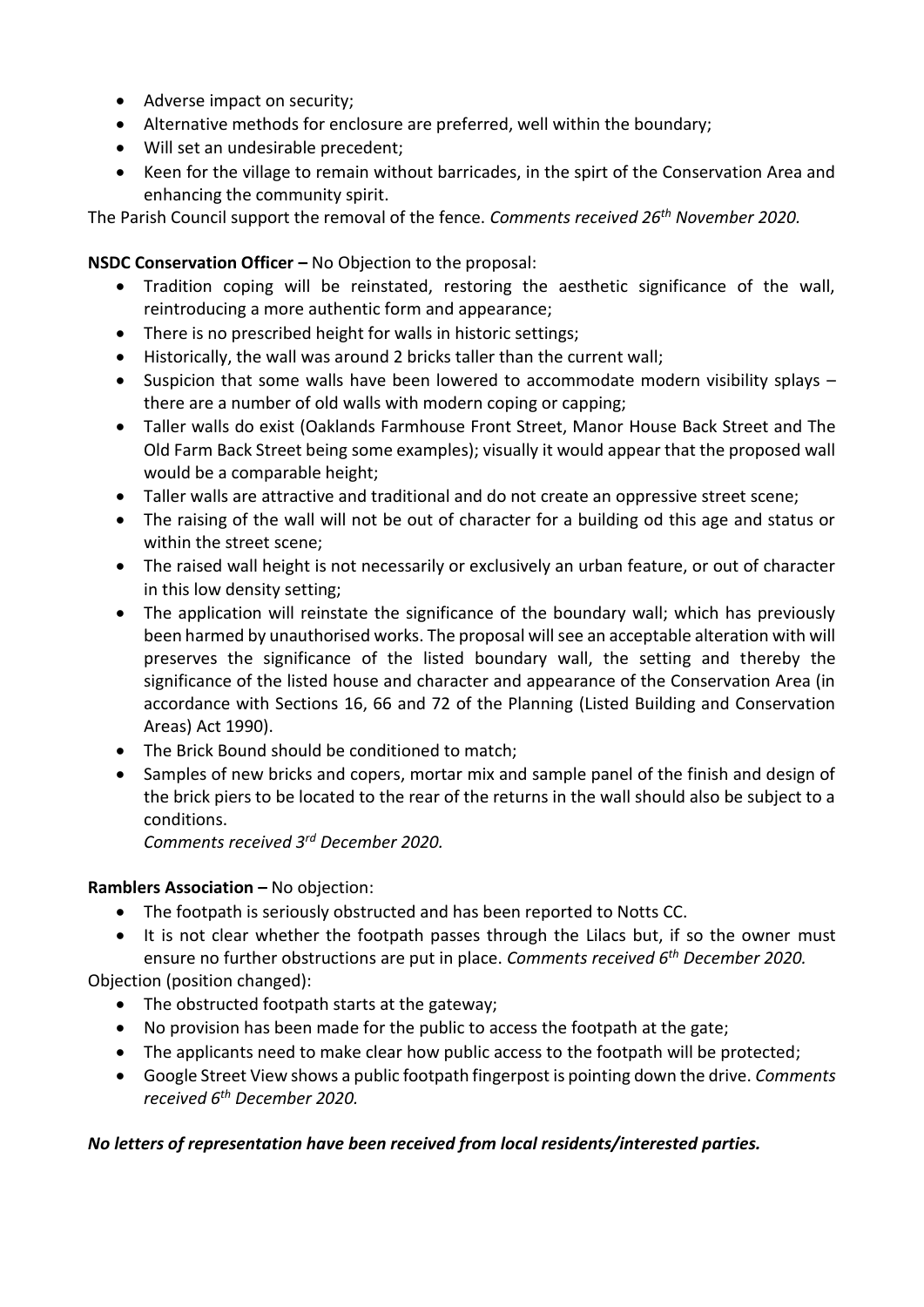- Adverse impact on security;
- Alternative methods for enclosure are preferred, well within the boundary;
- Will set an undesirable precedent;
- Keen for the village to remain without barricades, in the spirt of the Conservation Area and enhancing the community spirit.

The Parish Council support the removal of the fence. *Comments received 26th November 2020.*

# **NSDC Conservation Officer –** No Objection to the proposal:

- Tradition coping will be reinstated, restoring the aesthetic significance of the wall, reintroducing a more authentic form and appearance;
- There is no prescribed height for walls in historic settings:
- Historically, the wall was around 2 bricks taller than the current wall;
- Suspicion that some walls have been lowered to accommodate modern visibility splays there are a number of old walls with modern coping or capping;
- Taller walls do exist (Oaklands Farmhouse Front Street, Manor House Back Street and The Old Farm Back Street being some examples); visually it would appear that the proposed wall would be a comparable height;
- Taller walls are attractive and traditional and do not create an oppressive street scene;
- The raising of the wall will not be out of character for a building od this age and status or within the street scene;
- The raised wall height is not necessarily or exclusively an urban feature, or out of character in this low density setting;
- The application will reinstate the significance of the boundary wall; which has previously been harmed by unauthorised works. The proposal will see an acceptable alteration with will preserves the significance of the listed boundary wall, the setting and thereby the significance of the listed house and character and appearance of the Conservation Area (in accordance with Sections 16, 66 and 72 of the Planning (Listed Building and Conservation Areas) Act 1990).
- The Brick Bound should be conditioned to match;
- Samples of new bricks and copers, mortar mix and sample panel of the finish and design of the brick piers to be located to the rear of the returns in the wall should also be subject to a conditions.

*Comments received 3rd December 2020.*

# **Ramblers Association –** No objection:

- The footpath is seriously obstructed and has been reported to Notts CC.
- It is not clear whether the footpath passes through the Lilacs but, if so the owner must ensure no further obstructions are put in place. *Comments received 6th December 2020.*

Objection (position changed):

- The obstructed footpath starts at the gateway;
- No provision has been made for the public to access the footpath at the gate;
- The applicants need to make clear how public access to the footpath will be protected;
- Google Street View shows a public footpath fingerpost is pointing down the drive. *Comments received 6th December 2020.*

# *No letters of representation have been received from local residents/interested parties.*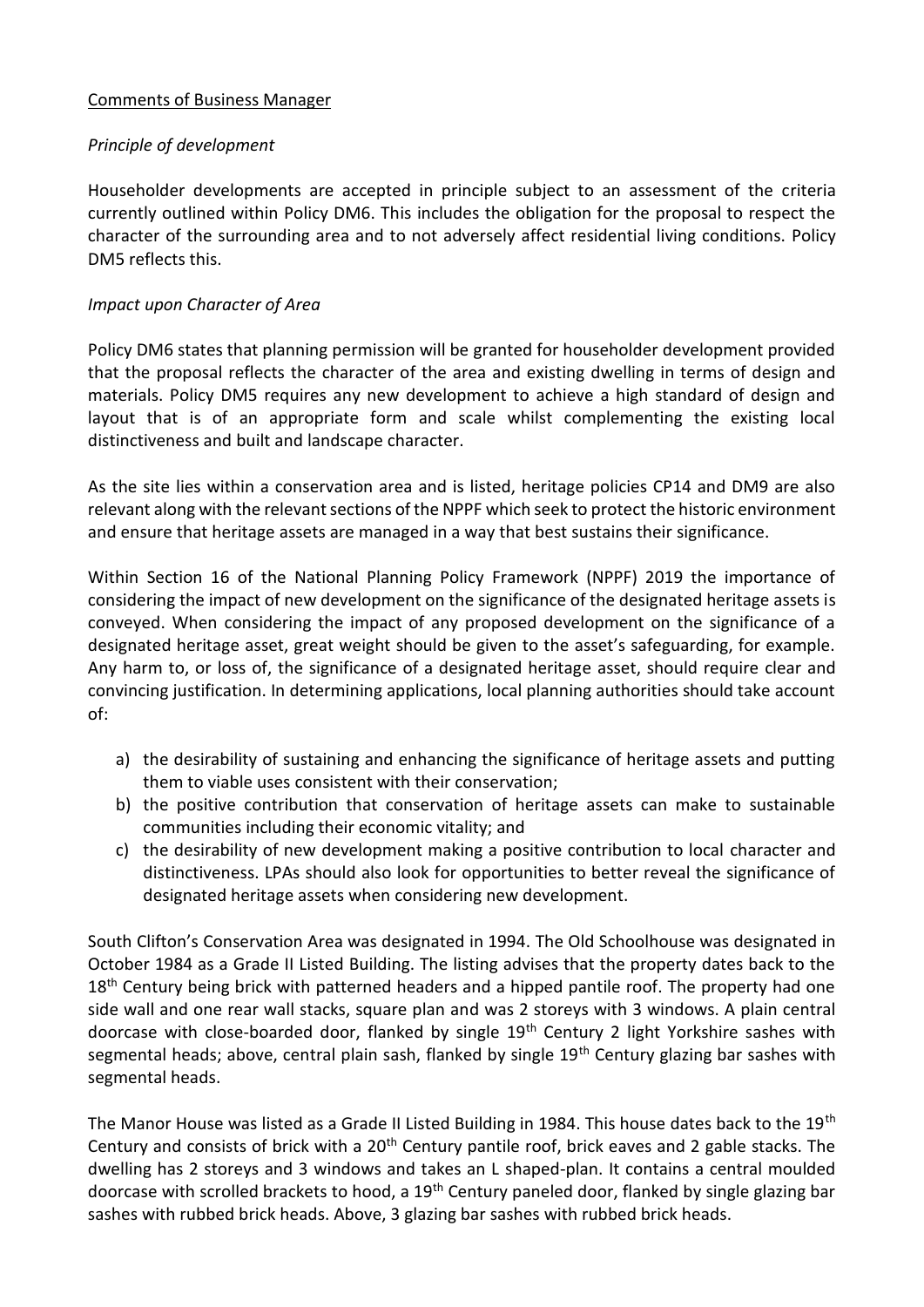#### Comments of Business Manager

# *Principle of development*

Householder developments are accepted in principle subject to an assessment of the criteria currently outlined within Policy DM6. This includes the obligation for the proposal to respect the character of the surrounding area and to not adversely affect residential living conditions. Policy DM5 reflects this.

#### *Impact upon Character of Area*

Policy DM6 states that planning permission will be granted for householder development provided that the proposal reflects the character of the area and existing dwelling in terms of design and materials. Policy DM5 requires any new development to achieve a high standard of design and layout that is of an appropriate form and scale whilst complementing the existing local distinctiveness and built and landscape character.

As the site lies within a conservation area and is listed, heritage policies CP14 and DM9 are also relevant along with the relevant sections of the NPPF which seek to protect the historic environment and ensure that heritage assets are managed in a way that best sustains their significance.

Within Section 16 of the National Planning Policy Framework (NPPF) 2019 the importance of considering the impact of new development on the significance of the designated heritage assets is conveyed. When considering the impact of any proposed development on the significance of a designated heritage asset, great weight should be given to the asset's safeguarding, for example. Any harm to, or loss of, the significance of a designated heritage asset, should require clear and convincing justification. In determining applications, local planning authorities should take account of:

- a) the desirability of sustaining and enhancing the significance of heritage assets and putting them to viable uses consistent with their conservation;
- b) the positive contribution that conservation of heritage assets can make to sustainable communities including their economic vitality; and
- c) the desirability of new development making a positive contribution to local character and distinctiveness. LPAs should also look for opportunities to better reveal the significance of designated heritage assets when considering new development.

South Clifton's Conservation Area was designated in 1994. The Old Schoolhouse was designated in October 1984 as a Grade II Listed Building. The listing advises that the property dates back to the 18<sup>th</sup> Century being brick with patterned headers and a hipped pantile roof. The property had one side wall and one rear wall stacks, square plan and was 2 storeys with 3 windows. A plain central doorcase with close-boarded door, flanked by single 19<sup>th</sup> Century 2 light Yorkshire sashes with segmental heads; above, central plain sash, flanked by single 19<sup>th</sup> Century glazing bar sashes with segmental heads.

The Manor House was listed as a Grade II Listed Building in 1984. This house dates back to the 19<sup>th</sup> Century and consists of brick with a  $20<sup>th</sup>$  Century pantile roof, brick eaves and 2 gable stacks. The dwelling has 2 storeys and 3 windows and takes an L shaped-plan. It contains a central moulded doorcase with scrolled brackets to hood, a 19<sup>th</sup> Century paneled door, flanked by single glazing bar sashes with rubbed brick heads. Above, 3 glazing bar sashes with rubbed brick heads.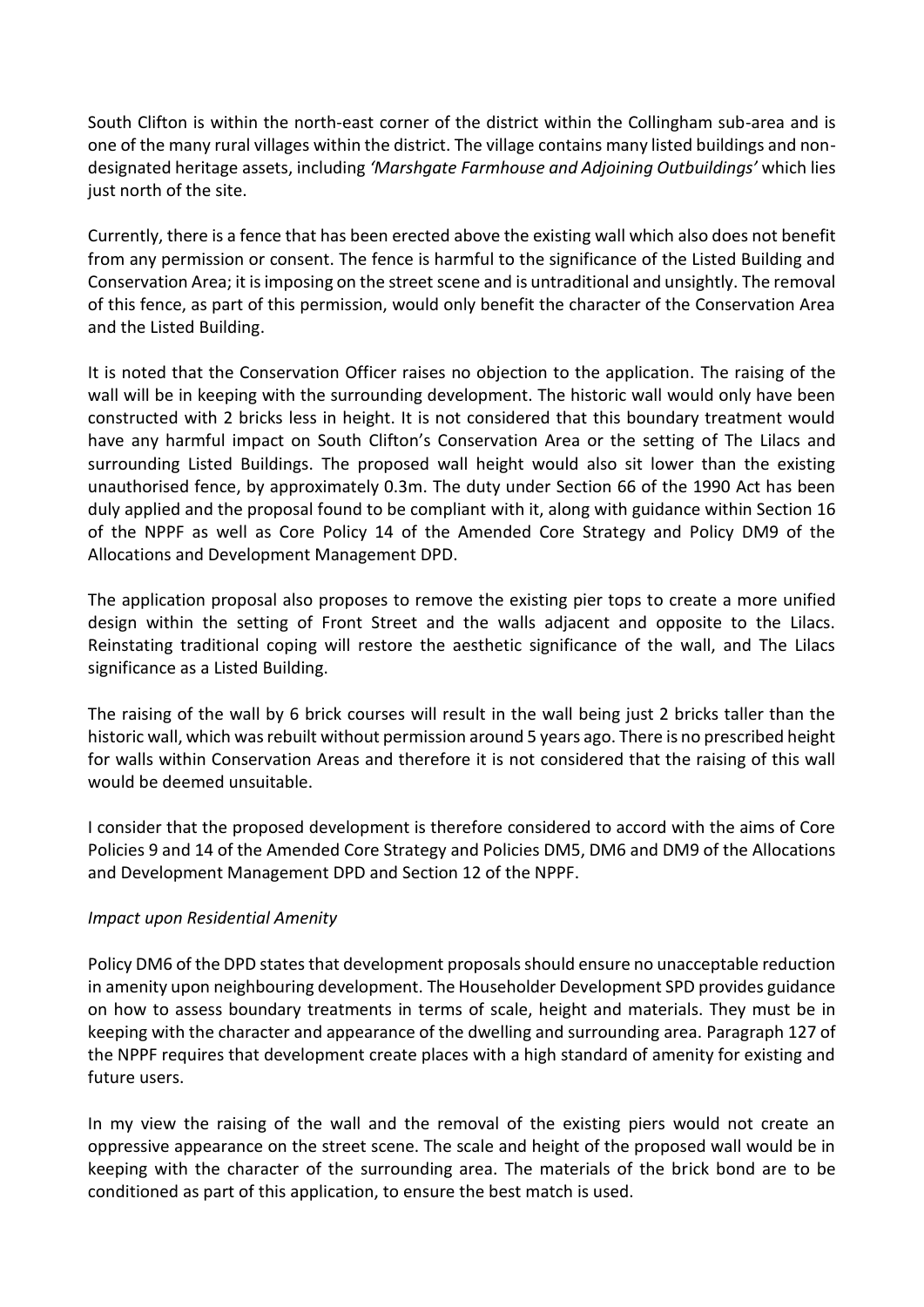South Clifton is within the north-east corner of the district within the Collingham sub-area and is one of the many rural villages within the district. The village contains many listed buildings and nondesignated heritage assets, including *'Marshgate Farmhouse and Adjoining Outbuildings'* which lies just north of the site.

Currently, there is a fence that has been erected above the existing wall which also does not benefit from any permission or consent. The fence is harmful to the significance of the Listed Building and Conservation Area; it is imposing on the street scene and is untraditional and unsightly. The removal of this fence, as part of this permission, would only benefit the character of the Conservation Area and the Listed Building.

It is noted that the Conservation Officer raises no objection to the application. The raising of the wall will be in keeping with the surrounding development. The historic wall would only have been constructed with 2 bricks less in height. It is not considered that this boundary treatment would have any harmful impact on South Clifton's Conservation Area or the setting of The Lilacs and surrounding Listed Buildings. The proposed wall height would also sit lower than the existing unauthorised fence, by approximately 0.3m. The duty under Section 66 of the 1990 Act has been duly applied and the proposal found to be compliant with it, along with guidance within Section 16 of the NPPF as well as Core Policy 14 of the Amended Core Strategy and Policy DM9 of the Allocations and Development Management DPD.

The application proposal also proposes to remove the existing pier tops to create a more unified design within the setting of Front Street and the walls adjacent and opposite to the Lilacs. Reinstating traditional coping will restore the aesthetic significance of the wall, and The Lilacs significance as a Listed Building.

The raising of the wall by 6 brick courses will result in the wall being just 2 bricks taller than the historic wall, which was rebuilt without permission around 5 years ago. There is no prescribed height for walls within Conservation Areas and therefore it is not considered that the raising of this wall would be deemed unsuitable.

I consider that the proposed development is therefore considered to accord with the aims of Core Policies 9 and 14 of the Amended Core Strategy and Policies DM5, DM6 and DM9 of the Allocations and Development Management DPD and Section 12 of the NPPF.

# *Impact upon Residential Amenity*

Policy DM6 of the DPD states that development proposals should ensure no unacceptable reduction in amenity upon neighbouring development. The Householder Development SPD provides guidance on how to assess boundary treatments in terms of scale, height and materials. They must be in keeping with the character and appearance of the dwelling and surrounding area. Paragraph 127 of the NPPF requires that development create places with a high standard of amenity for existing and future users.

In my view the raising of the wall and the removal of the existing piers would not create an oppressive appearance on the street scene. The scale and height of the proposed wall would be in keeping with the character of the surrounding area. The materials of the brick bond are to be conditioned as part of this application, to ensure the best match is used.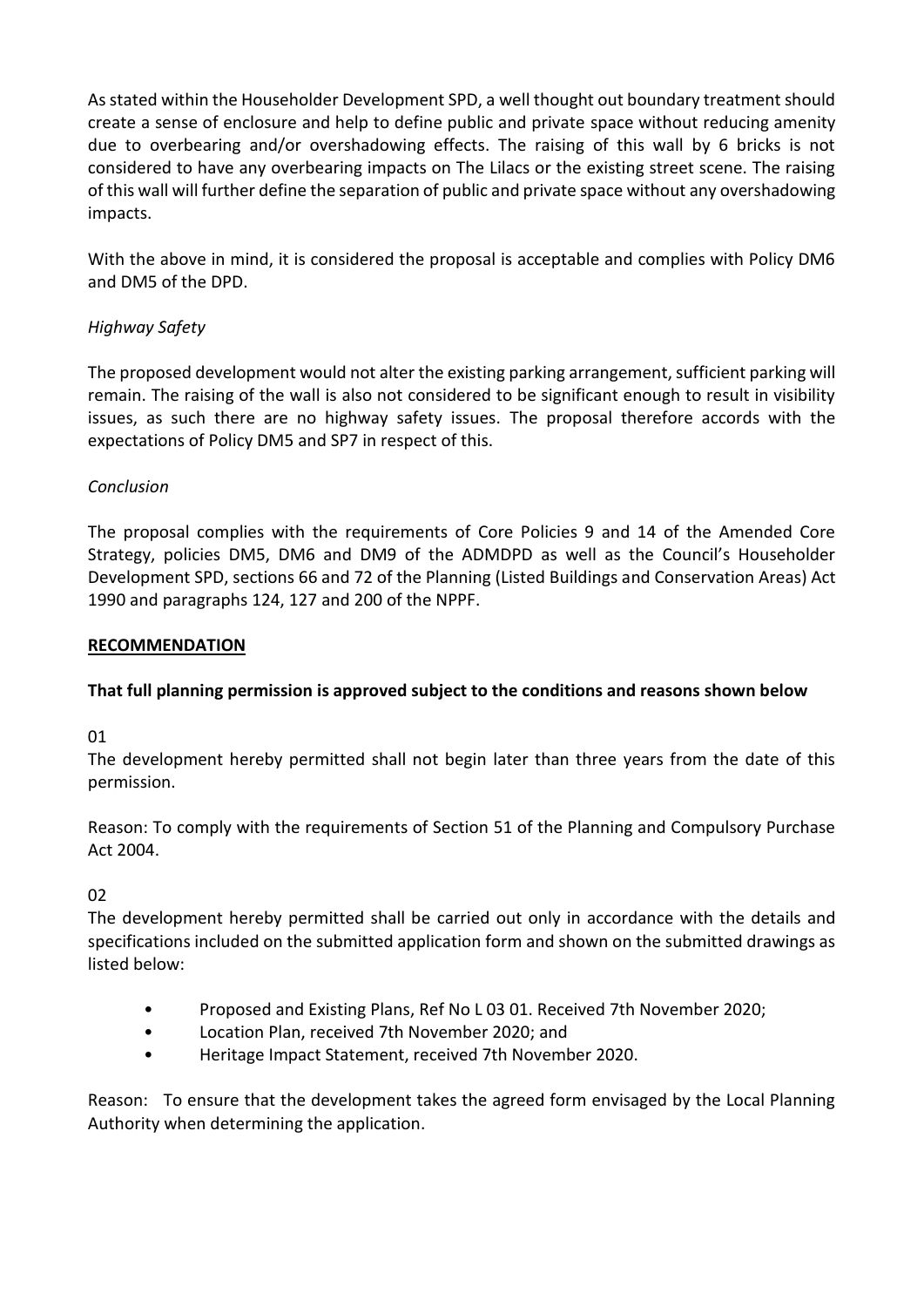As stated within the Householder Development SPD, a well thought out boundary treatment should create a sense of enclosure and help to define public and private space without reducing amenity due to overbearing and/or overshadowing effects. The raising of this wall by 6 bricks is not considered to have any overbearing impacts on The Lilacs or the existing street scene. The raising of this wall will further define the separation of public and private space without any overshadowing impacts.

With the above in mind, it is considered the proposal is acceptable and complies with Policy DM6 and DM5 of the DPD.

# *Highway Safety*

The proposed development would not alter the existing parking arrangement, sufficient parking will remain. The raising of the wall is also not considered to be significant enough to result in visibility issues, as such there are no highway safety issues. The proposal therefore accords with the expectations of Policy DM5 and SP7 in respect of this.

# *Conclusion*

The proposal complies with the requirements of Core Policies 9 and 14 of the Amended Core Strategy, policies DM5, DM6 and DM9 of the ADMDPD as well as the Council's Householder Development SPD, sections 66 and 72 of the Planning (Listed Buildings and Conservation Areas) Act 1990 and paragraphs 124, 127 and 200 of the NPPF.

# **RECOMMENDATION**

# **That full planning permission is approved subject to the conditions and reasons shown below**

01

The development hereby permitted shall not begin later than three years from the date of this permission.

Reason: To comply with the requirements of Section 51 of the Planning and Compulsory Purchase Act 2004.

# 02

The development hereby permitted shall be carried out only in accordance with the details and specifications included on the submitted application form and shown on the submitted drawings as listed below:

- Proposed and Existing Plans, Ref No L 03 01. Received 7th November 2020;
- Location Plan, received 7th November 2020; and
- Heritage Impact Statement, received 7th November 2020.

Reason: To ensure that the development takes the agreed form envisaged by the Local Planning Authority when determining the application.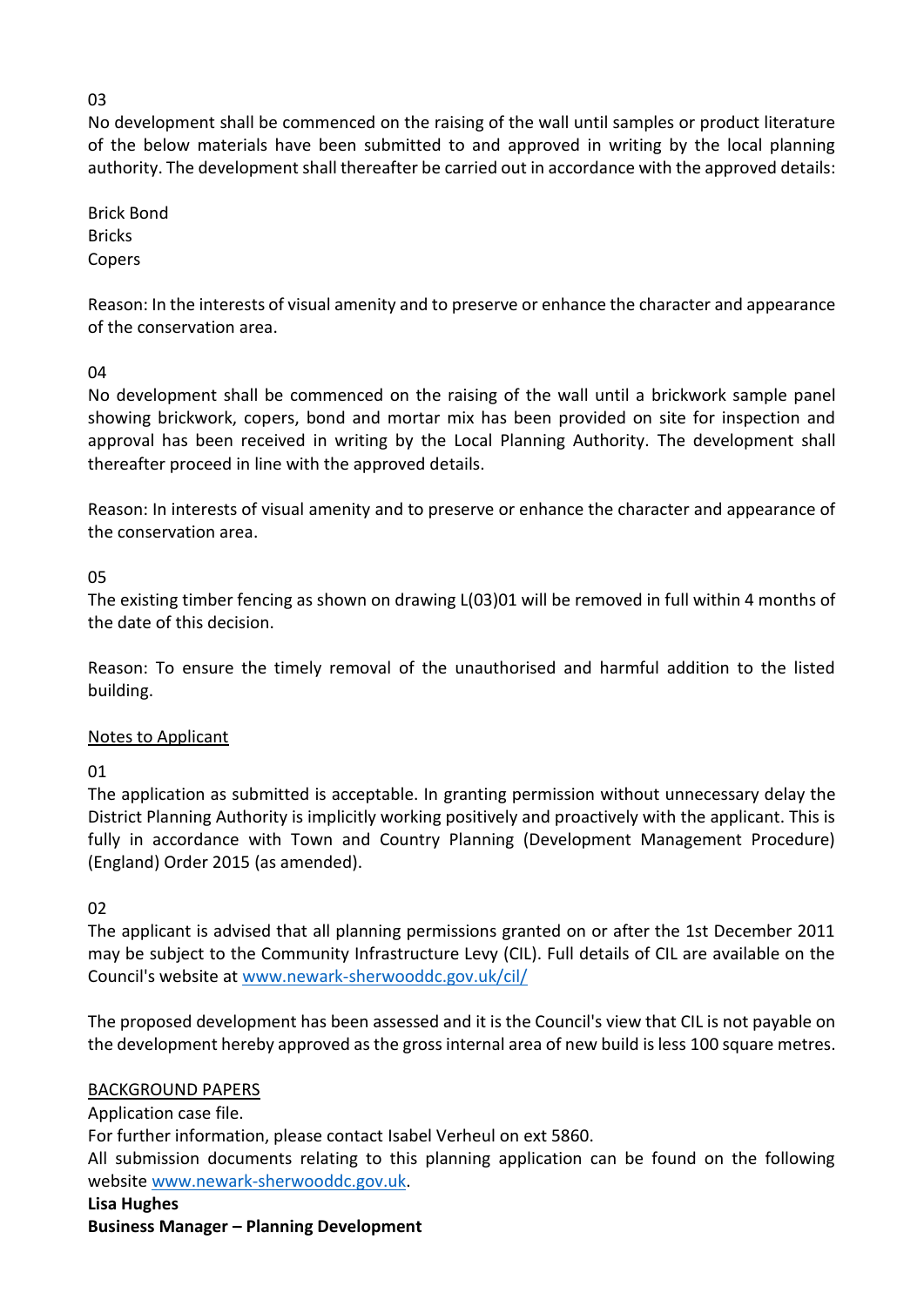# 03

No development shall be commenced on the raising of the wall until samples or product literature of the below materials have been submitted to and approved in writing by the local planning authority. The development shall thereafter be carried out in accordance with the approved details:

Brick Bond **Bricks** Copers

Reason: In the interests of visual amenity and to preserve or enhance the character and appearance of the conservation area.

# $04$

No development shall be commenced on the raising of the wall until a brickwork sample panel showing brickwork, copers, bond and mortar mix has been provided on site for inspection and approval has been received in writing by the Local Planning Authority. The development shall thereafter proceed in line with the approved details.

Reason: In interests of visual amenity and to preserve or enhance the character and appearance of the conservation area.

# 05

The existing timber fencing as shown on drawing L(03)01 will be removed in full within 4 months of the date of this decision.

Reason: To ensure the timely removal of the unauthorised and harmful addition to the listed building.

# Notes to Applicant

01

The application as submitted is acceptable. In granting permission without unnecessary delay the District Planning Authority is implicitly working positively and proactively with the applicant. This is fully in accordance with Town and Country Planning (Development Management Procedure) (England) Order 2015 (as amended).

# 02

The applicant is advised that all planning permissions granted on or after the 1st December 2011 may be subject to the Community Infrastructure Levy (CIL). Full details of CIL are available on the Council's website at [www.newark-sherwooddc.gov.uk/cil/](http://www.newark-sherwooddc.gov.uk/cil/)

The proposed development has been assessed and it is the Council's view that CIL is not payable on the development hereby approved as the gross internal area of new build is less 100 square metres.

# BACKGROUND PAPERS

Application case file.

For further information, please contact Isabel Verheul on ext 5860.

All submission documents relating to this planning application can be found on the following websit[e www.newark-sherwooddc.gov.uk.](http://www.newark-sherwooddc.gov.uk/)

# **Lisa Hughes**

**Business Manager – Planning Development**